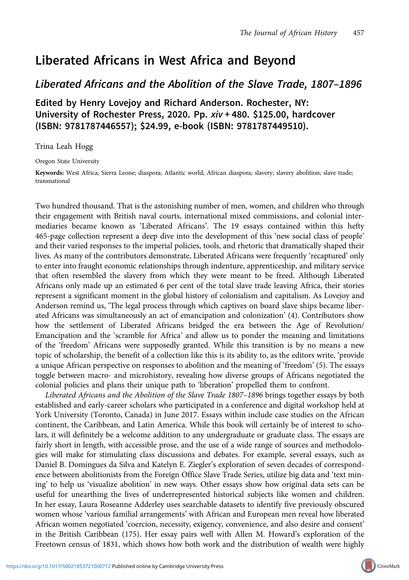## Liberated Africans in West Africa and Beyond

## Liberated Africans and the Abolition of the Slave Trade, 1807–1896

Edited by Henry Lovejoy and Richard Anderson. Rochester, NY: University of Rochester Press, 2020. Pp. xiv + 480. \$125.00, hardcover (ISBN: 9781787446557); \$24.99, e-book (ISBN: 9781787449510).

Trina Leah Hogg

Oregon State University

Keywords: West Africa; Sierra Leone; diaspora; Atlantic world; African diaspora; slavery; slavery abolition; slave trade; transnational

Two hundred thousand. That is the astonishing number of men, women, and children who through their engagement with British naval courts, international mixed commissions, and colonial intermediaries became known as 'Liberated Africans'. The 19 essays contained within this hefty 465-page collection represent a deep dive into the development of this 'new social class of people' and their varied responses to the imperial policies, tools, and rhetoric that dramatically shaped their lives. As many of the contributors demonstrate, Liberated Africans were frequently 'recaptured' only to enter into fraught economic relationships through indenture, apprenticeship, and military service that often resembled the slavery from which they were meant to be freed. Although Liberated Africans only made up an estimated 6 per cent of the total slave trade leaving Africa, their stories represent a significant moment in the global history of colonialism and capitalism. As Lovejoy and Anderson remind us, 'The legal process through which captives on board slave ships became liberated Africans was simultaneously an act of emancipation and colonization' (4). Contributors show how the settlement of Liberated Africans bridged the era between the Age of Revolution/ Emancipation and the 'scramble for Africa' and allow us to ponder the meaning and limitations of the 'freedom' Africans were supposedly granted. While this transition is by no means a new topic of scholarship, the benefit of a collection like this is its ability to, as the editors write, 'provide a unique African perspective on responses to abolition and the meaning of 'freedom' (5). The essays toggle between macro- and microhistory, revealing how diverse groups of Africans negotiated the colonial policies and plans their unique path to 'liberation' propelled them to confront.

Liberated Africans and the Abolition of the Slave Trade 1807–1896 brings together essays by both established and early-career scholars who participated in a conference and digital workshop held at York University (Toronto, Canada) in June 2017. Essays within include case studies on the African continent, the Caribbean, and Latin America. While this book will certainly be of interest to scholars, it will definitely be a welcome addition to any undergraduate or graduate class. The essays are fairly short in length, with accessible prose, and the use of a wide range of sources and methodologies will make for stimulating class discussions and debates. For example, several essays, such as Daniel B. Domingues da Silva and Katelyn E. Ziegler's exploration of seven decades of correspondence between abolitionists from the Foreign Office Slave Trade Series, utilize big data and 'text mining' to help us 'visualize abolition' in new ways. Other essays show how original data sets can be useful for unearthing the lives of underrepresented historical subjects like women and children. In her essay, Laura Roseanne Adderley uses searchable datasets to identify five previously obscured women whose 'various familial arrangements' with African and European men reveal how liberated African women negotiated 'coercion, necessity, exigency, convenience, and also desire and consent' in the British Caribbean (175). Her essay pairs well with Allen M. Howard's exploration of the Freetown census of 1831, which shows how both work and the distribution of wealth were highly